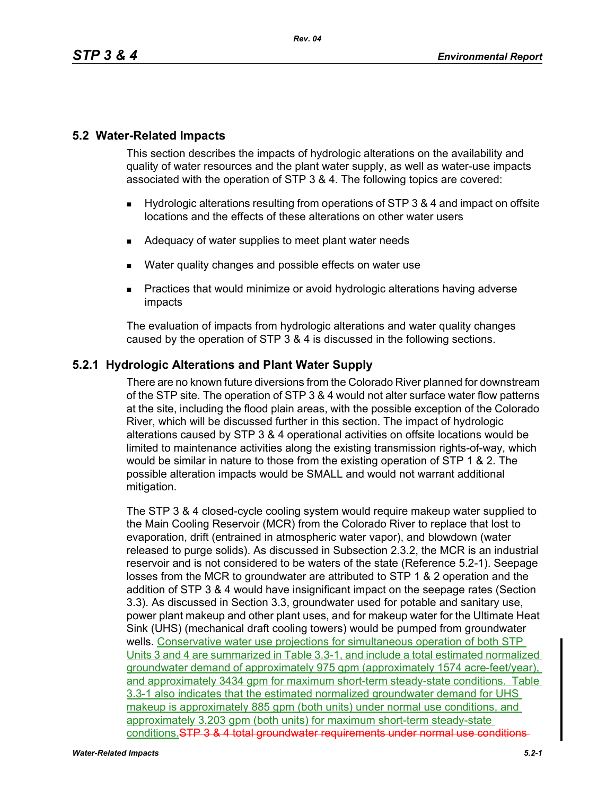# **5.2 Water-Related Impacts**

This section describes the impacts of hydrologic alterations on the availability and quality of water resources and the plant water supply, as well as water-use impacts associated with the operation of STP 3 & 4. The following topics are covered:

- Hydrologic alterations resulting from operations of STP 3 & 4 and impact on offsite locations and the effects of these alterations on other water users
- Adequacy of water supplies to meet plant water needs
- Water quality changes and possible effects on water use
- Practices that would minimize or avoid hydrologic alterations having adverse impacts

The evaluation of impacts from hydrologic alterations and water quality changes caused by the operation of STP 3 & 4 is discussed in the following sections.

# **5.2.1 Hydrologic Alterations and Plant Water Supply**

There are no known future diversions from the Colorado River planned for downstream of the STP site. The operation of STP 3 & 4 would not alter surface water flow patterns at the site, including the flood plain areas, with the possible exception of the Colorado River, which will be discussed further in this section. The impact of hydrologic alterations caused by STP 3 & 4 operational activities on offsite locations would be limited to maintenance activities along the existing transmission rights-of-way, which would be similar in nature to those from the existing operation of STP 1 & 2. The possible alteration impacts would be SMALL and would not warrant additional mitigation.

The STP 3 & 4 closed-cycle cooling system would require makeup water supplied to the Main Cooling Reservoir (MCR) from the Colorado River to replace that lost to evaporation, drift (entrained in atmospheric water vapor), and blowdown (water released to purge solids). As discussed in Subsection 2.3.2, the MCR is an industrial reservoir and is not considered to be waters of the state (Reference 5.2-1). Seepage losses from the MCR to groundwater are attributed to STP 1 & 2 operation and the addition of STP 3 & 4 would have insignificant impact on the seepage rates (Section 3.3). As discussed in Section 3.3, groundwater used for potable and sanitary use, power plant makeup and other plant uses, and for makeup water for the Ultimate Heat Sink (UHS) (mechanical draft cooling towers) would be pumped from groundwater wells. Conservative water use projections for simultaneous operation of both STP Units 3 and 4 are summarized in Table 3.3-1, and include a total estimated normalized groundwater demand of approximately 975 gpm (approximately 1574 acre-feet/year), and approximately 3434 gpm for maximum short-term steady-state conditions. Table 3.3-1 also indicates that the estimated normalized groundwater demand for UHS makeup is approximately 885 gpm (both units) under normal use conditions, and approximately 3,203 gpm (both units) for maximum short-term steady-state conditions. STP 3 & 4 total groundwater requirements under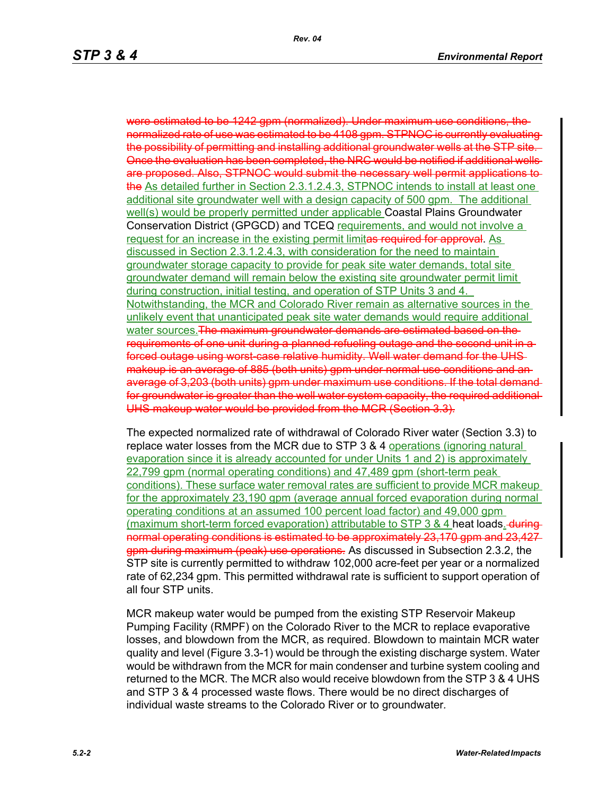were estimated to be 1242 gpm (normalized). Under maximum use conditions, the normalized rate of use was estimated to be 4108 gpm. STPNOC is currently evaluating the possibility of permitting and installing additional groundwater wells at the STP site. Once the evaluation has been completed, the NRC would be notified if additional wells are proposed. Also, STPNOC would submit the necessary well permit applications to the As detailed further in Section 2.3.1.2.4.3, STPNOC intends to install at least one additional site groundwater well with a design capacity of 500 gpm. The additional well(s) would be properly permitted under applicable Coastal Plains Groundwater Conservation District (GPGCD) and TCEQ requirements, and would not involve a request for an increase in the existing permit limitas required for approval. As discussed in Section 2.3.1.2.4.3, with consideration for the need to maintain groundwater storage capacity to provide for peak site water demands, total site groundwater demand will remain below the existing site groundwater permit limit during construction, initial testing, and operation of STP Units 3 and 4. Notwithstanding, the MCR and Colorado River remain as alternative sources in the unlikely event that unanticipated peak site water demands would require additional water sources. The maximum groundwater demands are estimated based on the requirements of one unit during a planned refueling outage and the second unit in a forced outage using worst case relative humidity. Well water demand for the UHSmakeup is an average of 885 (both units) gpm under normal use conditions and an average of 3,203 (both units) gpm under maximum use conditions. If the total demand for groundwater is greater than the well water system capacity, the required additional UHS makeup water would be provided from the MCR (Section 3.3).

The expected normalized rate of withdrawal of Colorado River water (Section 3.3) to replace water losses from the MCR due to STP 3 & 4 operations (ignoring natural evaporation since it is already accounted for under Units 1 and 2) is approximately 22,799 gpm (normal operating conditions) and 47,489 gpm (short-term peak conditions). These surface water removal rates are sufficient to provide MCR makeup for the approximately 23,190 gpm (average annual forced evaporation during normal operating conditions at an assumed 100 percent load factor) and 49,000 gpm (maximum short-term forced evaporation) attributable to STP 3  $\&$  4 heat loads.  $\frac{d}{dt}$ normal operating conditions is estimated to be approximately 23,170 gpm and 23,427 gpm during maximum (peak) use operations. As discussed in Subsection 2.3.2, the STP site is currently permitted to withdraw 102,000 acre-feet per year or a normalized rate of 62,234 gpm. This permitted withdrawal rate is sufficient to support operation of all four STP units.

MCR makeup water would be pumped from the existing STP Reservoir Makeup Pumping Facility (RMPF) on the Colorado River to the MCR to replace evaporative losses, and blowdown from the MCR, as required. Blowdown to maintain MCR water quality and level (Figure 3.3-1) would be through the existing discharge system. Water would be withdrawn from the MCR for main condenser and turbine system cooling and returned to the MCR. The MCR also would receive blowdown from the STP 3 & 4 UHS and STP 3 & 4 processed waste flows. There would be no direct discharges of individual waste streams to the Colorado River or to groundwater*.*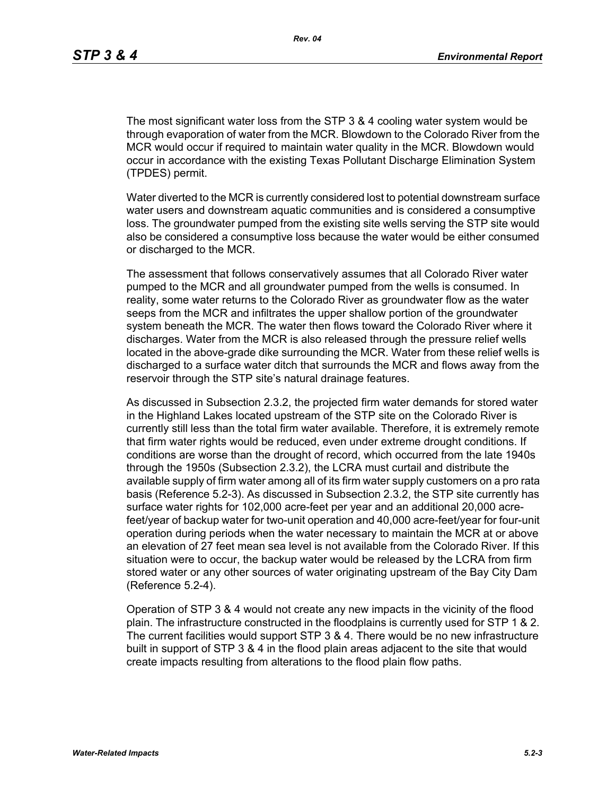The most significant water loss from the STP 3 & 4 cooling water system would be through evaporation of water from the MCR. Blowdown to the Colorado River from the MCR would occur if required to maintain water quality in the MCR. Blowdown would occur in accordance with the existing Texas Pollutant Discharge Elimination System (TPDES) permit.

Water diverted to the MCR is currently considered lost to potential downstream surface water users and downstream aquatic communities and is considered a consumptive loss. The groundwater pumped from the existing site wells serving the STP site would also be considered a consumptive loss because the water would be either consumed or discharged to the MCR.

The assessment that follows conservatively assumes that all Colorado River water pumped to the MCR and all groundwater pumped from the wells is consumed. In reality, some water returns to the Colorado River as groundwater flow as the water seeps from the MCR and infiltrates the upper shallow portion of the groundwater system beneath the MCR. The water then flows toward the Colorado River where it discharges. Water from the MCR is also released through the pressure relief wells located in the above-grade dike surrounding the MCR. Water from these relief wells is discharged to a surface water ditch that surrounds the MCR and flows away from the reservoir through the STP site's natural drainage features.

As discussed in Subsection 2.3.2, the projected firm water demands for stored water in the Highland Lakes located upstream of the STP site on the Colorado River is currently still less than the total firm water available. Therefore, it is extremely remote that firm water rights would be reduced, even under extreme drought conditions. If conditions are worse than the drought of record, which occurred from the late 1940s through the 1950s (Subsection 2.3.2), the LCRA must curtail and distribute the available supply of firm water among all of its firm water supply customers on a pro rata basis (Reference 5.2-3). As discussed in Subsection 2.3.2, the STP site currently has surface water rights for 102,000 acre-feet per year and an additional 20,000 acrefeet/year of backup water for two-unit operation and 40,000 acre-feet/year for four-unit operation during periods when the water necessary to maintain the MCR at or above an elevation of 27 feet mean sea level is not available from the Colorado River. If this situation were to occur, the backup water would be released by the LCRA from firm stored water or any other sources of water originating upstream of the Bay City Dam (Reference 5.2-4).

Operation of STP 3 & 4 would not create any new impacts in the vicinity of the flood plain. The infrastructure constructed in the floodplains is currently used for STP 1 & 2. The current facilities would support STP 3 & 4. There would be no new infrastructure built in support of STP 3 & 4 in the flood plain areas adjacent to the site that would create impacts resulting from alterations to the flood plain flow paths.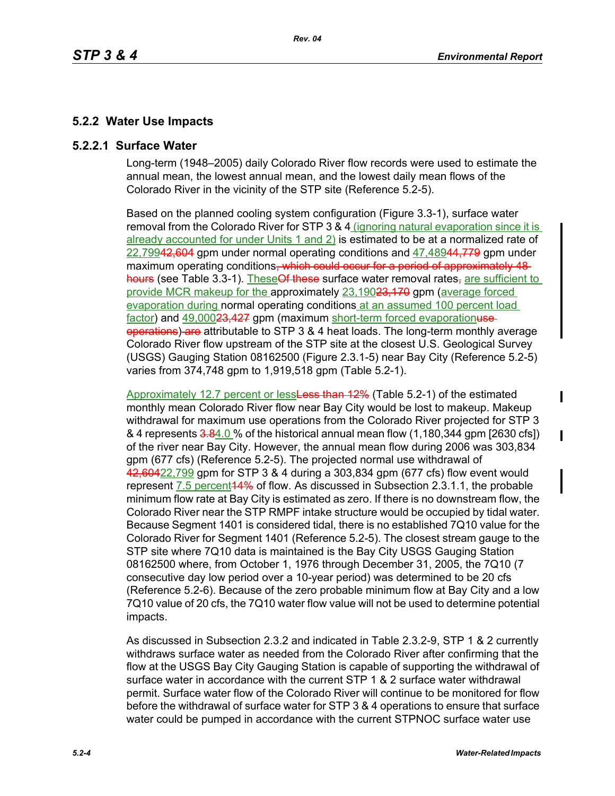# **5.2.2 Water Use Impacts**

## **5.2.2.1 Surface Water**

Long-term (1948–2005) daily Colorado River flow records were used to estimate the annual mean, the lowest annual mean, and the lowest daily mean flows of the Colorado River in the vicinity of the STP site (Reference 5.2-5).

Based on the planned cooling system configuration (Figure 3.3-1), surface water removal from the Colorado River for STP 3 & 4 (ignoring natural evaporation since it is already accounted for under Units 1 and 2) is estimated to be at a normalized rate of 22,79942,604 gpm under normal operating conditions and 47,48944,779 gpm under maximum operating conditions<del>, which could occur for a period of approximately 48</del> hours (see Table 3.3-1). These Of these surface water removal rates-are sufficient to provide MCR makeup for the approximately 23,19023,170 gpm (average forced evaporation during normal operating conditions at an assumed 100 percent load factor) and 49,00023,427 gpm (maximum short-term forced evaporationuseoperations) are attributable to STP 3 & 4 heat loads. The long-term monthly average Colorado River flow upstream of the STP site at the closest U.S. Geological Survey (USGS) Gauging Station 08162500 (Figure 2.3.1-5) near Bay City (Reference 5.2-5) varies from 374,748 gpm to 1,919,518 gpm (Table 5.2-1).

Approximately 12.7 percent or lessLess than 12% (Table 5.2-1) of the estimated monthly mean Colorado River flow near Bay City would be lost to makeup. Makeup withdrawal for maximum use operations from the Colorado River projected for STP 3 & 4 represents 3.84.0 % of the historical annual mean flow (1,180,344 gpm [2630 cfs]) of the river near Bay City. However, the annual mean flow during 2006 was 303,834 gpm (677 cfs) (Reference 5.2-5). The projected normal use withdrawal of 42,60422,799 gpm for STP 3 & 4 during a 303,834 gpm (677 cfs) flow event would represent 7.5 percent 44% of flow. As discussed in Subsection 2.3.1.1, the probable minimum flow rate at Bay City is estimated as zero. If there is no downstream flow, the Colorado River near the STP RMPF intake structure would be occupied by tidal water. Because Segment 1401 is considered tidal, there is no established 7Q10 value for the Colorado River for Segment 1401 (Reference 5.2-5). The closest stream gauge to the STP site where 7Q10 data is maintained is the Bay City USGS Gauging Station 08162500 where, from October 1, 1976 through December 31, 2005, the 7Q10 (7 consecutive day low period over a 10-year period) was determined to be 20 cfs (Reference 5.2-6). Because of the zero probable minimum flow at Bay City and a low 7Q10 value of 20 cfs, the 7Q10 water flow value will not be used to determine potential impacts.

As discussed in Subsection 2.3.2 and indicated in Table 2.3.2-9, STP 1 & 2 currently withdraws surface water as needed from the Colorado River after confirming that the flow at the USGS Bay City Gauging Station is capable of supporting the withdrawal of surface water in accordance with the current STP 1 & 2 surface water withdrawal permit. Surface water flow of the Colorado River will continue to be monitored for flow before the withdrawal of surface water for STP 3 & 4 operations to ensure that surface water could be pumped in accordance with the current STPNOC surface water use

 $\mathbf I$ 

 $\blacksquare$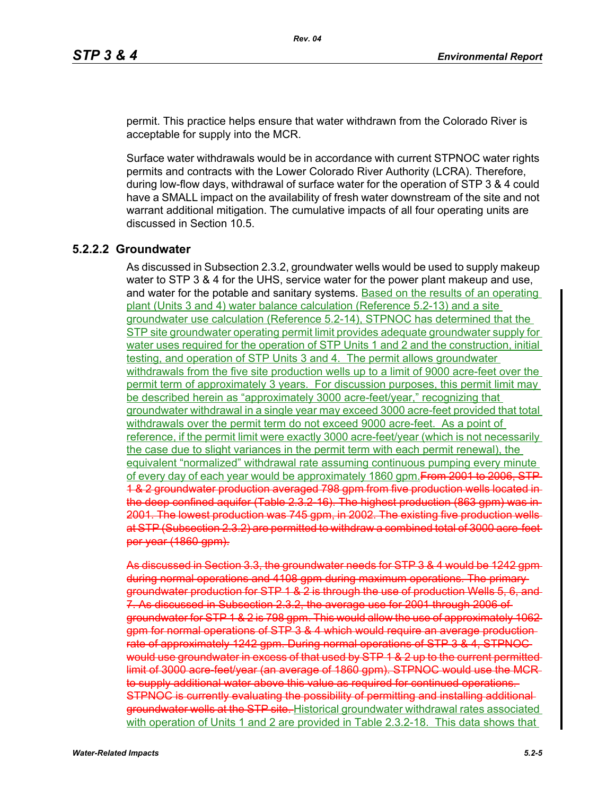permit. This practice helps ensure that water withdrawn from the Colorado River is acceptable for supply into the MCR.

Surface water withdrawals would be in accordance with current STPNOC water rights permits and contracts with the Lower Colorado River Authority (LCRA). Therefore, during low-flow days, withdrawal of surface water for the operation of STP 3 & 4 could have a SMALL impact on the availability of fresh water downstream of the site and not warrant additional mitigation. The cumulative impacts of all four operating units are discussed in Section 10.5.

## **5.2.2.2 Groundwater**

As discussed in Subsection 2.3.2, groundwater wells would be used to supply makeup water to STP 3 & 4 for the UHS, service water for the power plant makeup and use, and water for the potable and sanitary systems. Based on the results of an operating plant (Units 3 and 4) water balance calculation (Reference 5.2-13) and a site groundwater use calculation (Reference 5.2-14), STPNOC has determined that the STP site groundwater operating permit limit provides adequate groundwater supply for water uses required for the operation of STP Units 1 and 2 and the construction, initial testing, and operation of STP Units 3 and 4. The permit allows groundwater withdrawals from the five site production wells up to a limit of 9000 acre-feet over the permit term of approximately 3 years. For discussion purposes, this permit limit may be described herein as "approximately 3000 acre-feet/year," recognizing that groundwater withdrawal in a single year may exceed 3000 acre-feet provided that total withdrawals over the permit term do not exceed 9000 acre-feet. As a point of reference, if the permit limit were exactly 3000 acre-feet/year (which is not necessarily the case due to slight variances in the permit term with each permit renewal), the equivalent "normalized" withdrawal rate assuming continuous pumping every minute of every day of each year would be approximately 1860 gpm. From 2001 to 2006, STP 1 & 2 groundwater production averaged 798 gpm from five production wells located in the deep confined aquifer (Table 2.3.2-16). The highest production (863 gpm) was in 2001. The lowest production was 745 gpm, in 2002. The existing five production wells at STP (Subsection 2.3.2) are permitted to withdraw a combined total of 3000 acre-feet per year (1860 gpm).

As discussed in Section 3.3, the groundwater needs for STP 3 & 4 would be 1242 gpm during normal operations and 4108 gpm during maximum operations. The primary groundwater production for STP 1 & 2 is through the use of production Wells 5, 6, and 7. As discussed in Subsection 2.3.2, the average use for 2001 through 2006 of groundwater for STP 1 & 2 is 798 gpm. This would allow the use of approximately 1062 gpm for normal operations of STP 3 & 4 which would require an average production rate of approximately 1242 gpm. During normal operations of STP 3 & 4, STPNOC would use groundwater in excess of that used by STP 1 & 2 up to the current permitted limit of 3000 acre-feet/year (an average of 1860 gpm). STPNOC would use the MCR to supply additional water above this value as required for continued operations. STPNOC is currently evaluating the possibility of permitting and installing additional groundwater wells at the STP site. Historical groundwater withdrawal rates associated with operation of Units 1 and 2 are provided in Table 2.3.2-18. This data shows that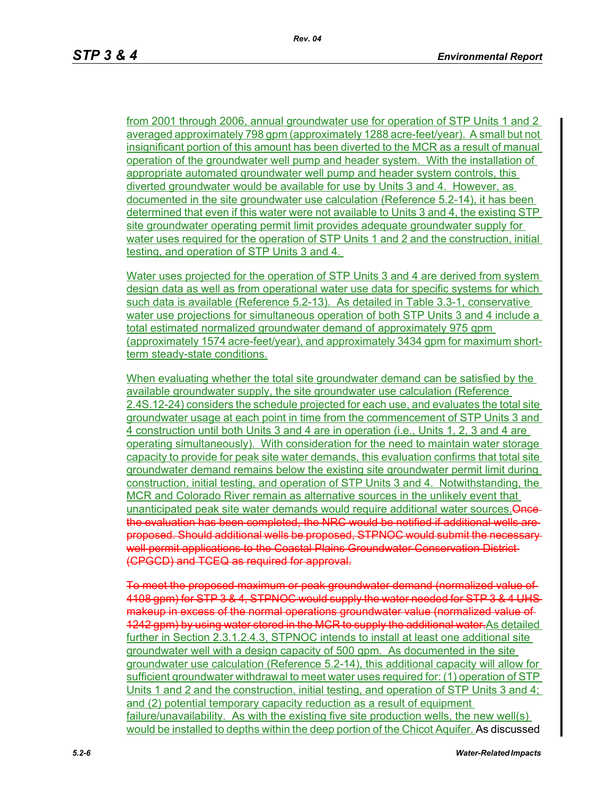from 2001 through 2006, annual groundwater use for operation of STP Units 1 and 2 averaged approximately 798 gpm (approximately 1288 acre-feet/year). A small but not insignificant portion of this amount has been diverted to the MCR as a result of manual operation of the groundwater well pump and header system. With the installation of appropriate automated groundwater well pump and header system controls, this diverted groundwater would be available for use by Units 3 and 4. However, as documented in the site groundwater use calculation (Reference 5.2-14), it has been determined that even if this water were not available to Units 3 and 4, the existing STP site groundwater operating permit limit provides adequate groundwater supply for water uses required for the operation of STP Units 1 and 2 and the construction, initial testing, and operation of STP Units 3 and 4.

Water uses projected for the operation of STP Units 3 and 4 are derived from system design data as well as from operational water use data for specific systems for which such data is available (Reference 5.2-13). As detailed in Table 3.3-1, conservative water use projections for simultaneous operation of both STP Units 3 and 4 include a total estimated normalized groundwater demand of approximately 975 gpm (approximately 1574 acre-feet/year), and approximately 3434 gpm for maximum shortterm steady-state conditions.

When evaluating whether the total site groundwater demand can be satisfied by the available groundwater supply, the site groundwater use calculation (Reference 2.4S.12-24) considers the schedule projected for each use, and evaluates the total site groundwater usage at each point in time from the commencement of STP Units 3 and 4 construction until both Units 3 and 4 are in operation (i.e., Units 1, 2, 3 and 4 are operating simultaneously). With consideration for the need to maintain water storage capacity to provide for peak site water demands, this evaluation confirms that total site groundwater demand remains below the existing site groundwater permit limit during construction, initial testing, and operation of STP Units 3 and 4. Notwithstanding, the MCR and Colorado River remain as alternative sources in the unlikely event that unanticipated peak site water demands would require additional water sources. Oncethe evaluation has been completed, the NRC would be notified if additional wells are proposed. Should additional wells be proposed, STPNOC would submit the necessary well permit applications to the Coastal Plains Groundwater Conservation District-(CPGCD) and TCEQ as required for approval.

To meet the proposed maximum or peak groundwater demand (normalized value 4108 gpm) for STP 3 & 4, STPNOC would supply the water needed for STP 3 & 4 UHS makeup in excess of the normal operations groundwater value (normalized value of 1242 gpm) by using water stored in the MCR to supply the additional water. As detailed further in Section 2.3.1.2.4.3, STPNOC intends to install at least one additional site groundwater well with a design capacity of 500 gpm. As documented in the site groundwater use calculation (Reference 5.2-14), this additional capacity will allow for sufficient groundwater withdrawal to meet water uses required for: (1) operation of STP Units 1 and 2 and the construction, initial testing, and operation of STP Units 3 and 4; and (2) potential temporary capacity reduction as a result of equipment failure/unavailability. As with the existing five site production wells, the new well(s) would be installed to depths within the deep portion of the Chicot Aquifer. As discussed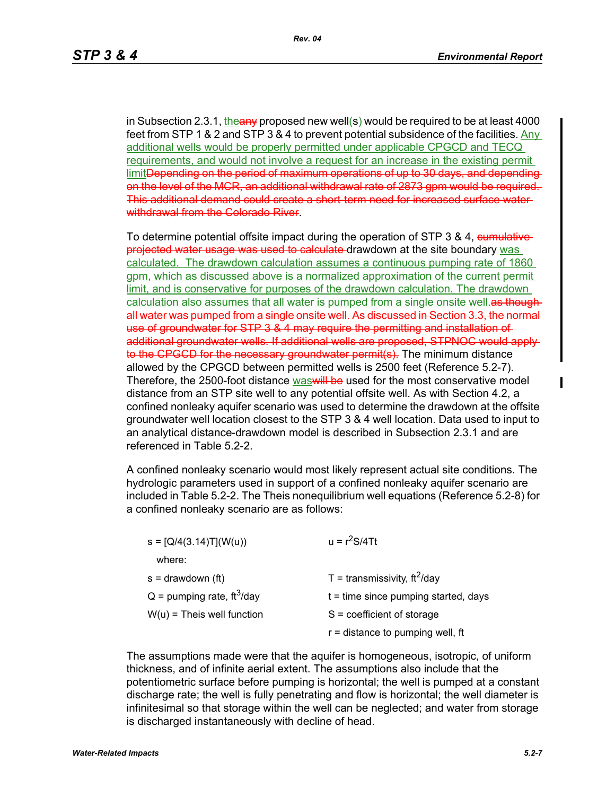in Subsection 2.3.1, the any proposed new well(s) would be required to be at least 4000 feet from STP 1 & 2 and STP 3 & 4 to prevent potential subsidence of the facilities. Any additional wells would be properly permitted under applicable CPGCD and TECQ requirements, and would not involve a request for an increase in the existing permit limitDepending on the period of maximum operations of up to 30 days, and depending on the level of the MCR, an additional withdrawal rate of 2873 gpm would be required. This additional demand could create a short-term need for increased surface water withdrawal from the Colorado River.

To determine potential offsite impact during the operation of STP 3 & 4, cumulativeprojected water usage was used to calculate drawdown at the site boundary was calculated. The drawdown calculation assumes a continuous pumping rate of 1860 gpm, which as discussed above is a normalized approximation of the current permit limit, and is conservative for purposes of the drawdown calculation. The drawdown calculation also assumes that all water is pumped from a single onsite well. **as though** all water was pumped from a single onsite well. As discussed in Section 3.3, the normal use of groundwater for STP 3 & 4 may require the permitting and installation of additional groundwater wells. If additional wells are proposed, STPNOC would apply to the CPGCD for the necessary groundwater permit(s). The minimum distance allowed by the CPGCD between permitted wells is 2500 feet (Reference 5.2-7). Therefore, the 2500-foot distance was will be used for the most conservative model distance from an STP site well to any potential offsite well. As with Section 4.2, a confined nonleaky aquifer scenario was used to determine the drawdown at the offsite groundwater well location closest to the STP 3 & 4 well location. Data used to input to an analytical distance-drawdown model is described in Subsection 2.3.1 and are referenced in Table 5.2-2.

A confined nonleaky scenario would most likely represent actual site conditions. The hydrologic parameters used in support of a confined nonleaky aquifer scenario are included in Table 5.2-2. The Theis nonequilibrium well equations (Reference 5.2-8) for a confined nonleaky scenario are as follows:

| $s = [Q/4(3.14)T](W(u))$                 | $u = r^2S/4Tt$                               |
|------------------------------------------|----------------------------------------------|
| where:                                   |                                              |
| $s =$ drawdown (ft)                      | T = transmissivity, $\text{ft}^2/\text{day}$ |
| $Q =$ pumping rate, ft <sup>3</sup> /day | $t =$ time since pumping started, days       |
| $W(u)$ = Theis well function             | $S = coefficient of storage$                 |
|                                          | $r =$ distance to pumping well, ft           |
|                                          |                                              |

The assumptions made were that the aquifer is homogeneous, isotropic, of uniform thickness, and of infinite aerial extent. The assumptions also include that the potentiometric surface before pumping is horizontal; the well is pumped at a constant discharge rate; the well is fully penetrating and flow is horizontal; the well diameter is infinitesimal so that storage within the well can be neglected; and water from storage is discharged instantaneously with decline of head.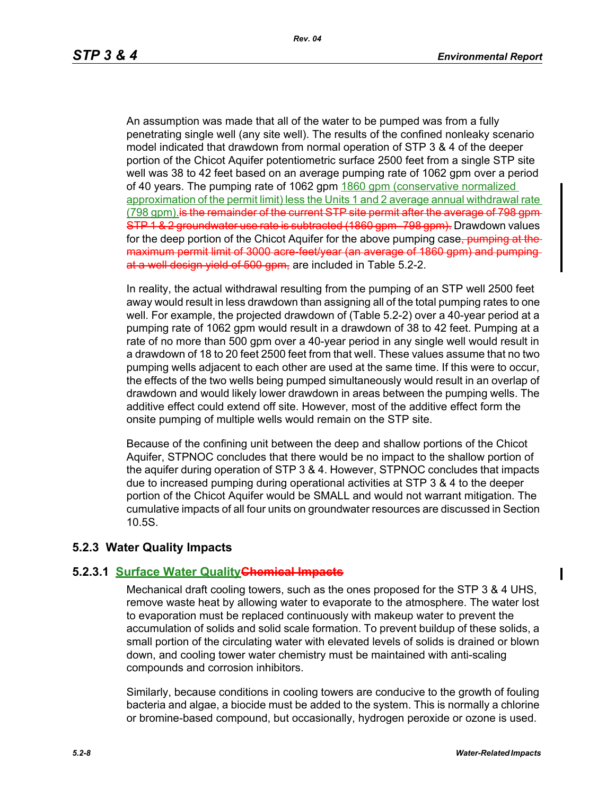An assumption was made that all of the water to be pumped was from a fully penetrating single well (any site well). The results of the confined nonleaky scenario model indicated that drawdown from normal operation of STP 3 & 4 of the deeper portion of the Chicot Aquifer potentiometric surface 2500 feet from a single STP site well was 38 to 42 feet based on an average pumping rate of 1062 gpm over a period of 40 years. The pumping rate of 1062 gpm 1860 gpm (conservative normalized approximation of the permit limit) less the Units 1 and 2 average annual withdrawal rate (798 gpm) is the remainder of the current STP site permit after the average of 798 gpm-STP 1 & 2 groundwater use rate is subtracted (1860 gpm–798 gpm). Drawdown values for the deep portion of the Chicot Aquifer for the above pumping case, pumping at the maximum permit limit of 3000 acre-feet/year (an average of 1860 gpm) and pumping at a well design yield of 500 gpm, are included in Table 5.2-2.

In reality, the actual withdrawal resulting from the pumping of an STP well 2500 feet away would result in less drawdown than assigning all of the total pumping rates to one well. For example, the projected drawdown of (Table 5.2-2) over a 40-year period at a pumping rate of 1062 gpm would result in a drawdown of 38 to 42 feet. Pumping at a rate of no more than 500 gpm over a 40-year period in any single well would result in a drawdown of 18 to 20 feet 2500 feet from that well. These values assume that no two pumping wells adjacent to each other are used at the same time. If this were to occur, the effects of the two wells being pumped simultaneously would result in an overlap of drawdown and would likely lower drawdown in areas between the pumping wells. The additive effect could extend off site. However, most of the additive effect form the onsite pumping of multiple wells would remain on the STP site.

Because of the confining unit between the deep and shallow portions of the Chicot Aquifer, STPNOC concludes that there would be no impact to the shallow portion of the aquifer during operation of STP 3 & 4. However, STPNOC concludes that impacts due to increased pumping during operational activities at STP 3 & 4 to the deeper portion of the Chicot Aquifer would be SMALL and would not warrant mitigation. The cumulative impacts of all four units on groundwater resources are discussed in Section 10.5S.

## **5.2.3 Water Quality Impacts**

### **5.2.3.1 Surface Water QualityChemical Impacts**

Mechanical draft cooling towers, such as the ones proposed for the STP 3 & 4 UHS, remove waste heat by allowing water to evaporate to the atmosphere. The water lost to evaporation must be replaced continuously with makeup water to prevent the accumulation of solids and solid scale formation. To prevent buildup of these solids, a small portion of the circulating water with elevated levels of solids is drained or blown down, and cooling tower water chemistry must be maintained with anti-scaling compounds and corrosion inhibitors.

Similarly, because conditions in cooling towers are conducive to the growth of fouling bacteria and algae, a biocide must be added to the system. This is normally a chlorine or bromine-based compound, but occasionally, hydrogen peroxide or ozone is used.

 $\blacksquare$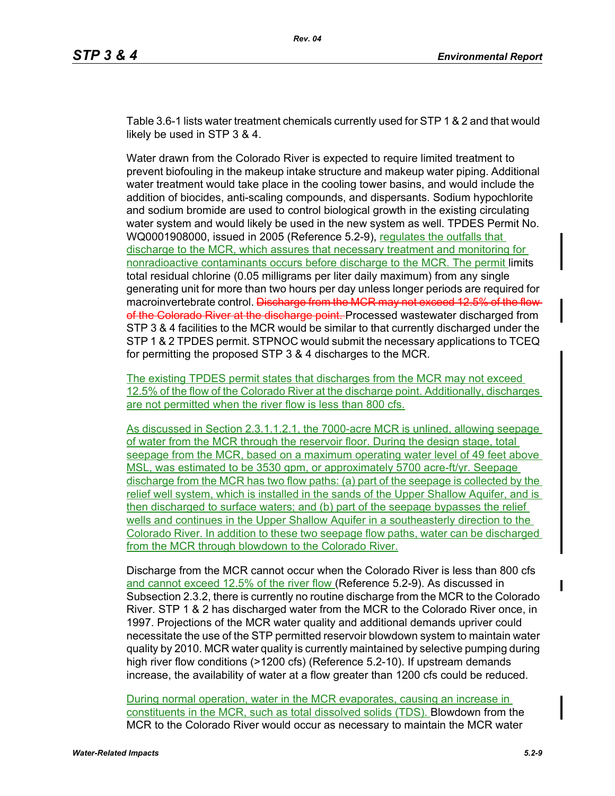Table 3.6-1 lists water treatment chemicals currently used for STP 1 & 2 and that would likely be used in STP 3 & 4.

Water drawn from the Colorado River is expected to require limited treatment to prevent biofouling in the makeup intake structure and makeup water piping. Additional water treatment would take place in the cooling tower basins, and would include the addition of biocides, anti-scaling compounds, and dispersants. Sodium hypochlorite and sodium bromide are used to control biological growth in the existing circulating water system and would likely be used in the new system as well. TPDES Permit No. WQ0001908000, issued in 2005 (Reference 5.2-9), regulates the outfalls that discharge to the MCR, which assures that necessary treatment and monitoring for nonradioactive contaminants occurs before discharge to the MCR. The permit limits total residual chlorine (0.05 milligrams per liter daily maximum) from any single generating unit for more than two hours per day unless longer periods are required for macroinvertebrate control. Discharge from the MCR may not exceed 12.5% of the flowof the Colorado River at the discharge point. Processed wastewater discharged from STP 3 & 4 facilities to the MCR would be similar to that currently discharged under the STP 1 & 2 TPDES permit. STPNOC would submit the necessary applications to TCEQ for permitting the proposed STP 3 & 4 discharges to the MCR.

The existing TPDES permit states that discharges from the MCR may not exceed 12.5% of the flow of the Colorado River at the discharge point. Additionally, discharges are not permitted when the river flow is less than 800 cfs.

As discussed in Section 2.3.1.1.2.1, the 7000-acre MCR is unlined, allowing seepage of water from the MCR through the reservoir floor. During the design stage, total seepage from the MCR, based on a maximum operating water level of 49 feet above MSL, was estimated to be 3530 gpm, or approximately 5700 acre-ft/yr. Seepage discharge from the MCR has two flow paths: (a) part of the seepage is collected by the relief well system, which is installed in the sands of the Upper Shallow Aquifer, and is then discharged to surface waters; and (b) part of the seepage bypasses the relief wells and continues in the Upper Shallow Aquifer in a southeasterly direction to the Colorado River. In addition to these two seepage flow paths, water can be discharged from the MCR through blowdown to the Colorado River.

Discharge from the MCR cannot occur when the Colorado River is less than 800 cfs and cannot exceed 12.5% of the river flow (Reference 5.2-9). As discussed in Subsection 2.3.2, there is currently no routine discharge from the MCR to the Colorado River. STP 1 & 2 has discharged water from the MCR to the Colorado River once, in 1997. Projections of the MCR water quality and additional demands upriver could necessitate the use of the STP permitted reservoir blowdown system to maintain water quality by 2010. MCR water quality is currently maintained by selective pumping during high river flow conditions (>1200 cfs) (Reference 5.2-10). If upstream demands increase, the availability of water at a flow greater than 1200 cfs could be reduced.

During normal operation, water in the MCR evaporates, causing an increase in constituents in the MCR, such as total dissolved solids (TDS). Blowdown from the MCR to the Colorado River would occur as necessary to maintain the MCR water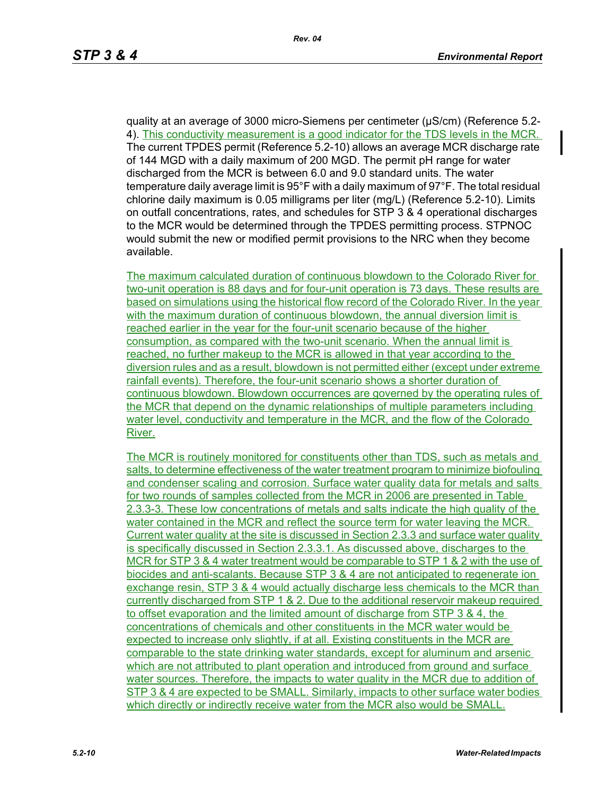quality at an average of 3000 micro-Siemens per centimeter (µS/cm) (Reference 5.2- 4). This conductivity measurement is a good indicator for the TDS levels in the MCR. The current TPDES permit (Reference 5.2-10) allows an average MCR discharge rate of 144 MGD with a daily maximum of 200 MGD. The permit pH range for water discharged from the MCR is between 6.0 and 9.0 standard units. The water temperature daily average limit is 95°F with a daily maximum of 97°F. The total residual chlorine daily maximum is 0.05 milligrams per liter (mg/L) (Reference 5.2-10). Limits on outfall concentrations, rates, and schedules for STP 3 & 4 operational discharges to the MCR would be determined through the TPDES permitting process. STPNOC would submit the new or modified permit provisions to the NRC when they become available.

The maximum calculated duration of continuous blowdown to the Colorado River for two-unit operation is 88 days and for four-unit operation is 73 days. These results are based on simulations using the historical flow record of the Colorado River. In the year with the maximum duration of continuous blowdown, the annual diversion limit is reached earlier in the year for the four-unit scenario because of the higher consumption, as compared with the two-unit scenario. When the annual limit is reached, no further makeup to the MCR is allowed in that year according to the diversion rules and as a result, blowdown is not permitted either (except under extreme rainfall events). Therefore, the four-unit scenario shows a shorter duration of continuous blowdown. Blowdown occurrences are governed by the operating rules of the MCR that depend on the dynamic relationships of multiple parameters including water level, conductivity and temperature in the MCR, and the flow of the Colorado River.

The MCR is routinely monitored for constituents other than TDS, such as metals and salts, to determine effectiveness of the water treatment program to minimize biofouling and condenser scaling and corrosion. Surface water quality data for metals and salts for two rounds of samples collected from the MCR in 2006 are presented in Table 2.3.3-3. These low concentrations of metals and salts indicate the high quality of the water contained in the MCR and reflect the source term for water leaving the MCR. Current water quality at the site is discussed in Section 2.3.3 and surface water quality is specifically discussed in Section 2.3.3.1. As discussed above, discharges to the MCR for STP 3 & 4 water treatment would be comparable to STP 1 & 2 with the use of biocides and anti-scalants. Because STP 3 & 4 are not anticipated to regenerate ion exchange resin, STP 3 & 4 would actually discharge less chemicals to the MCR than currently discharged from STP 1 & 2. Due to the additional reservoir makeup required to offset evaporation and the limited amount of discharge from STP 3 & 4, the concentrations of chemicals and other constituents in the MCR water would be expected to increase only slightly, if at all. Existing constituents in the MCR are comparable to the state drinking water standards, except for aluminum and arsenic which are not attributed to plant operation and introduced from ground and surface water sources. Therefore, the impacts to water quality in the MCR due to addition of STP 3 & 4 are expected to be SMALL. Similarly, impacts to other surface water bodies which directly or indirectly receive water from the MCR also would be SMALL.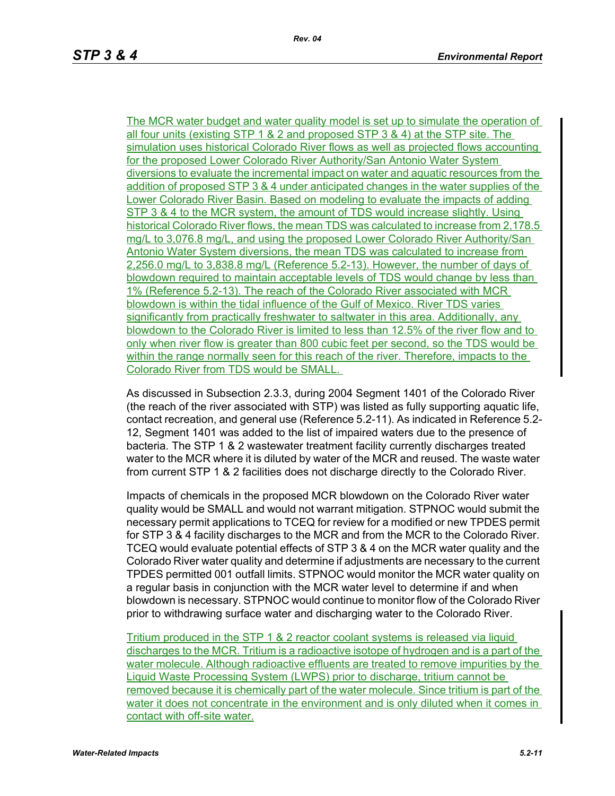The MCR water budget and water quality model is set up to simulate the operation of all four units (existing STP 1 & 2 and proposed STP 3 & 4) at the STP site. The simulation uses historical Colorado River flows as well as projected flows accounting for the proposed Lower Colorado River Authority/San Antonio Water System diversions to evaluate the incremental impact on water and aquatic resources from the addition of proposed STP 3 & 4 under anticipated changes in the water supplies of the Lower Colorado River Basin. Based on modeling to evaluate the impacts of adding STP 3 & 4 to the MCR system, the amount of TDS would increase slightly. Using historical Colorado River flows, the mean TDS was calculated to increase from 2,178.5 mg/L to 3,076.8 mg/L, and using the proposed Lower Colorado River Authority/San Antonio Water System diversions, the mean TDS was calculated to increase from 2,256.0 mg/L to 3,838.8 mg/L (Reference 5.2-13). However, the number of days of blowdown required to maintain acceptable levels of TDS would change by less than 1% (Reference 5.2-13). The reach of the Colorado River associated with MCR blowdown is within the tidal influence of the Gulf of Mexico. River TDS varies significantly from practically freshwater to saltwater in this area. Additionally, any blowdown to the Colorado River is limited to less than 12.5% of the river flow and to only when river flow is greater than 800 cubic feet per second, so the TDS would be within the range normally seen for this reach of the river. Therefore, impacts to the Colorado River from TDS would be SMALL.

As discussed in Subsection 2.3.3, during 2004 Segment 1401 of the Colorado River (the reach of the river associated with STP) was listed as fully supporting aquatic life, contact recreation, and general use (Reference 5.2-11). As indicated in Reference 5.2- 12, Segment 1401 was added to the list of impaired waters due to the presence of bacteria. The STP 1 & 2 wastewater treatment facility currently discharges treated water to the MCR where it is diluted by water of the MCR and reused. The waste water from current STP 1 & 2 facilities does not discharge directly to the Colorado River.

Impacts of chemicals in the proposed MCR blowdown on the Colorado River water quality would be SMALL and would not warrant mitigation. STPNOC would submit the necessary permit applications to TCEQ for review for a modified or new TPDES permit for STP 3 & 4 facility discharges to the MCR and from the MCR to the Colorado River. TCEQ would evaluate potential effects of STP 3 & 4 on the MCR water quality and the Colorado River water quality and determine if adjustments are necessary to the current TPDES permitted 001 outfall limits. STPNOC would monitor the MCR water quality on a regular basis in conjunction with the MCR water level to determine if and when blowdown is necessary. STPNOC would continue to monitor flow of the Colorado River prior to withdrawing surface water and discharging water to the Colorado River.

Tritium produced in the STP 1 & 2 reactor coolant systems is released via liquid discharges to the MCR. Tritium is a radioactive isotope of hydrogen and is a part of the water molecule. Although radioactive effluents are treated to remove impurities by the Liquid Waste Processing System (LWPS) prior to discharge, tritium cannot be removed because it is chemically part of the water molecule. Since tritium is part of the water it does not concentrate in the environment and is only diluted when it comes in contact with off-site water.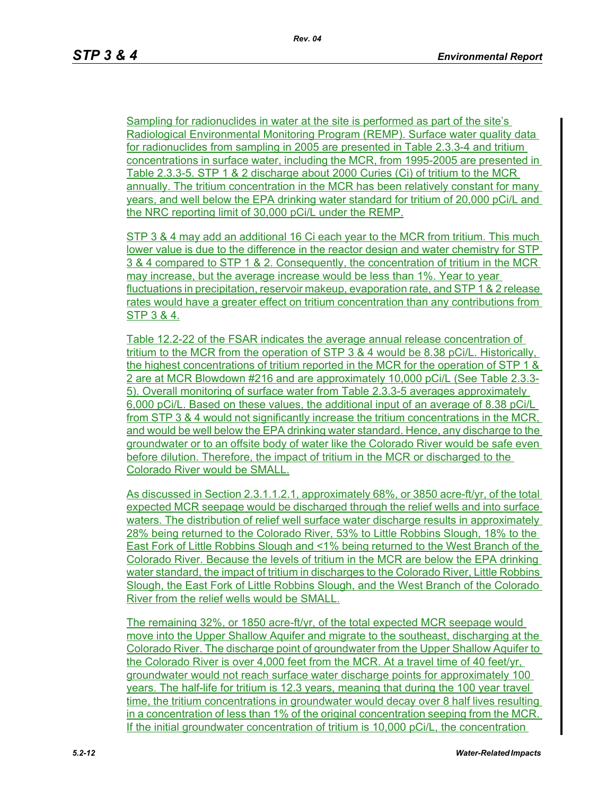Sampling for radionuclides in water at the site is performed as part of the site's Radiological Environmental Monitoring Program (REMP). Surface water quality data for radionuclides from sampling in 2005 are presented in Table 2.3.3-4 and tritium concentrations in surface water, including the MCR, from 1995-2005 are presented in Table 2.3.3-5. STP 1 & 2 discharge about 2000 Curies (Ci) of tritium to the MCR annually. The tritium concentration in the MCR has been relatively constant for many years, and well below the EPA drinking water standard for tritium of 20,000 pCi/L and the NRC reporting limit of 30,000 pCi/L under the REMP.

STP 3 & 4 may add an additional 16 Ci each year to the MCR from tritium. This much lower value is due to the difference in the reactor design and water chemistry for STP 3 & 4 compared to STP 1 & 2. Consequently, the concentration of tritium in the MCR may increase, but the average increase would be less than 1%. Year to vear fluctuations in precipitation, reservoir makeup, evaporation rate, and STP 1 & 2 release rates would have a greater effect on tritium concentration than any contributions from STP 3 & 4.

Table 12.2-22 of the FSAR indicates the average annual release concentration of tritium to the MCR from the operation of STP 3 & 4 would be 8.38 pCi/L. Historically, the highest concentrations of tritium reported in the MCR for the operation of STP 1 & 2 are at MCR Blowdown #216 and are approximately 10,000 pCi/L (See Table 2.3.3- 5). Overall monitoring of surface water from Table 2.3.3-5 averages approximately 6,000 pCi/L. Based on these values, the additional input of an average of 8.38 pCi/L from STP 3 & 4 would not significantly increase the tritium concentrations in the MCR, and would be well below the EPA drinking water standard. Hence, any discharge to the groundwater or to an offsite body of water like the Colorado River would be safe even before dilution. Therefore, the impact of tritium in the MCR or discharged to the Colorado River would be SMALL.

As discussed in Section 2.3.1.1.2.1, approximately 68%, or 3850 acre-ft/yr, of the total expected MCR seepage would be discharged through the relief wells and into surface waters. The distribution of relief well surface water discharge results in approximately 28% being returned to the Colorado River, 53% to Little Robbins Slough, 18% to the East Fork of Little Robbins Slough and <1% being returned to the West Branch of the Colorado River. Because the levels of tritium in the MCR are below the EPA drinking water standard, the impact of tritium in discharges to the Colorado River, Little Robbins Slough, the East Fork of Little Robbins Slough, and the West Branch of the Colorado River from the relief wells would be SMALL.

The remaining 32%, or 1850 acre-ft/yr, of the total expected MCR seepage would move into the Upper Shallow Aquifer and migrate to the southeast, discharging at the Colorado River. The discharge point of groundwater from the Upper Shallow Aquifer to the Colorado River is over 4,000 feet from the MCR. At a travel time of 40 feet/yr, groundwater would not reach surface water discharge points for approximately 100 years. The half-life for tritium is 12.3 years, meaning that during the 100 year travel time, the tritium concentrations in groundwater would decay over 8 half lives resulting in a concentration of less than 1% of the original concentration seeping from the MCR. If the initial groundwater concentration of tritium is 10,000 pCi/L, the concentration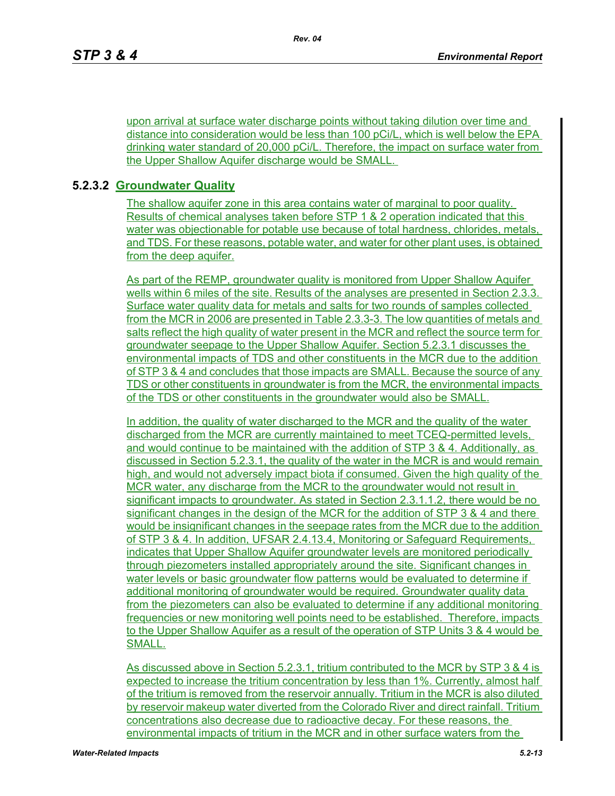upon arrival at surface water discharge points without taking dilution over time and distance into consideration would be less than 100 pCi/L, which is well below the EPA drinking water standard of 20,000 pCi/L. Therefore, the impact on surface water from the Upper Shallow Aquifer discharge would be SMALL.

# **5.2.3.2 Groundwater Quality**

The shallow aquifer zone in this area contains water of marginal to poor quality. Results of chemical analyses taken before STP 1 & 2 operation indicated that this water was objectionable for potable use because of total hardness, chlorides, metals, and TDS. For these reasons, potable water, and water for other plant uses, is obtained from the deep aquifer.

As part of the REMP, groundwater quality is monitored from Upper Shallow Aquifer wells within 6 miles of the site. Results of the analyses are presented in Section 2.3.3. Surface water quality data for metals and salts for two rounds of samples collected from the MCR in 2006 are presented in Table 2.3.3-3. The low quantities of metals and salts reflect the high quality of water present in the MCR and reflect the source term for groundwater seepage to the Upper Shallow Aquifer. Section 5.2.3.1 discusses the environmental impacts of TDS and other constituents in the MCR due to the addition of STP 3 & 4 and concludes that those impacts are SMALL. Because the source of any TDS or other constituents in groundwater is from the MCR, the environmental impacts of the TDS or other constituents in the groundwater would also be SMALL.

In addition, the quality of water discharged to the MCR and the quality of the water discharged from the MCR are currently maintained to meet TCEQ-permitted levels, and would continue to be maintained with the addition of STP 3 & 4. Additionally, as discussed in Section 5.2.3.1, the quality of the water in the MCR is and would remain high, and would not adversely impact biota if consumed. Given the high quality of the MCR water, any discharge from the MCR to the groundwater would not result in significant impacts to groundwater. As stated in Section 2.3.1.1.2, there would be no significant changes in the design of the MCR for the addition of STP 3 & 4 and there would be insignificant changes in the seepage rates from the MCR due to the addition of STP 3 & 4. In addition, UFSAR 2.4.13.4, Monitoring or Safeguard Requirements, indicates that Upper Shallow Aquifer groundwater levels are monitored periodically through piezometers installed appropriately around the site. Significant changes in water levels or basic groundwater flow patterns would be evaluated to determine if additional monitoring of groundwater would be required. Groundwater quality data from the piezometers can also be evaluated to determine if any additional monitoring frequencies or new monitoring well points need to be established. Therefore, impacts to the Upper Shallow Aquifer as a result of the operation of STP Units 3 & 4 would be SMALL.

As discussed above in Section 5.2.3.1, tritium contributed to the MCR by STP 3 & 4 is expected to increase the tritium concentration by less than 1%. Currently, almost half of the tritium is removed from the reservoir annually. Tritium in the MCR is also diluted by reservoir makeup water diverted from the Colorado River and direct rainfall. Tritium concentrations also decrease due to radioactive decay. For these reasons, the environmental impacts of tritium in the MCR and in other surface waters from the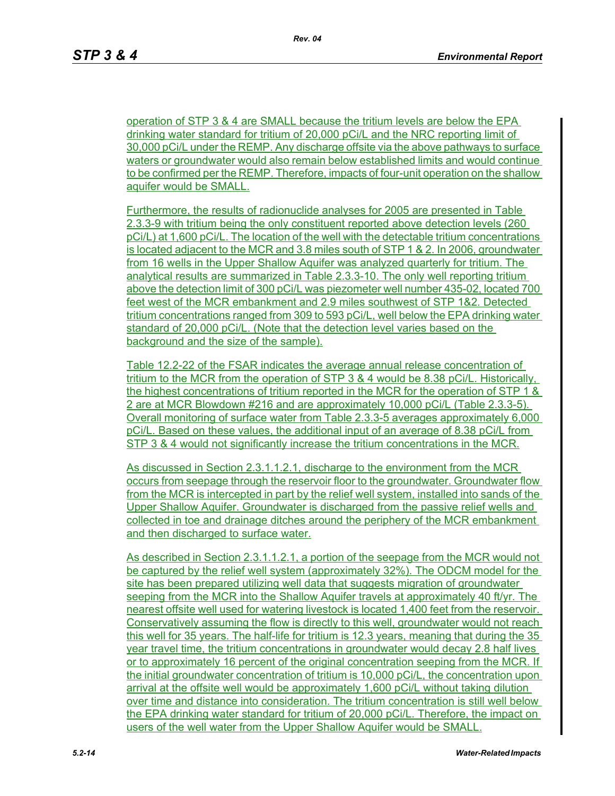operation of STP 3 & 4 are SMALL because the tritium levels are below the EPA drinking water standard for tritium of 20,000 pCi/L and the NRC reporting limit of 30,000 pCi/L under the REMP. Any discharge offsite via the above pathways to surface waters or groundwater would also remain below established limits and would continue to be confirmed per the REMP. Therefore, impacts of four-unit operation on the shallow aquifer would be SMALL.

Furthermore, the results of radionuclide analyses for 2005 are presented in Table 2.3.3-9 with tritium being the only constituent reported above detection levels (260 pCi/L) at 1,600 pCi/L. The location of the well with the detectable tritium concentrations is located adjacent to the MCR and 3.8 miles south of STP 1 & 2. In 2006, groundwater from 16 wells in the Upper Shallow Aquifer was analyzed quarterly for tritium. The analytical results are summarized in Table 2.3.3-10. The only well reporting tritium above the detection limit of 300 pCi/L was piezometer well number 435-02, located 700 feet west of the MCR embankment and 2.9 miles southwest of STP 1&2. Detected tritium concentrations ranged from 309 to 593 pCi/L, well below the EPA drinking water standard of 20,000 pCi/L. (Note that the detection level varies based on the background and the size of the sample).

Table 12.2-22 of the FSAR indicates the average annual release concentration of tritium to the MCR from the operation of STP 3 & 4 would be 8.38 pCi/L. Historically, the highest concentrations of tritium reported in the MCR for the operation of STP 1 & 2 are at MCR Blowdown #216 and are approximately 10,000 pCi/L (Table 2.3.3-5). Overall monitoring of surface water from Table 2.3.3-5 averages approximately 6,000 pCi/L. Based on these values, the additional input of an average of 8.38 pCi/L from STP 3 & 4 would not significantly increase the tritium concentrations in the MCR.

As discussed in Section 2.3.1.1.2.1, discharge to the environment from the MCR occurs from seepage through the reservoir floor to the groundwater. Groundwater flow from the MCR is intercepted in part by the relief well system, installed into sands of the Upper Shallow Aquifer. Groundwater is discharged from the passive relief wells and collected in toe and drainage ditches around the periphery of the MCR embankment and then discharged to surface water.

As described in Section 2.3.1.1.2.1, a portion of the seepage from the MCR would not be captured by the relief well system (approximately 32%). The ODCM model for the site has been prepared utilizing well data that suggests migration of groundwater seeping from the MCR into the Shallow Aquifer travels at approximately 40 ft/yr. The nearest offsite well used for watering livestock is located 1,400 feet from the reservoir. Conservatively assuming the flow is directly to this well, groundwater would not reach this well for 35 years. The half-life for tritium is 12.3 years, meaning that during the 35 year travel time, the tritium concentrations in groundwater would decay 2.8 half lives or to approximately 16 percent of the original concentration seeping from the MCR. If the initial groundwater concentration of tritium is 10,000 pCi/L, the concentration upon arrival at the offsite well would be approximately 1,600 pCi/L without taking dilution over time and distance into consideration. The tritium concentration is still well below the EPA drinking water standard for tritium of 20,000 pCi/L. Therefore, the impact on users of the well water from the Upper Shallow Aquifer would be SMALL.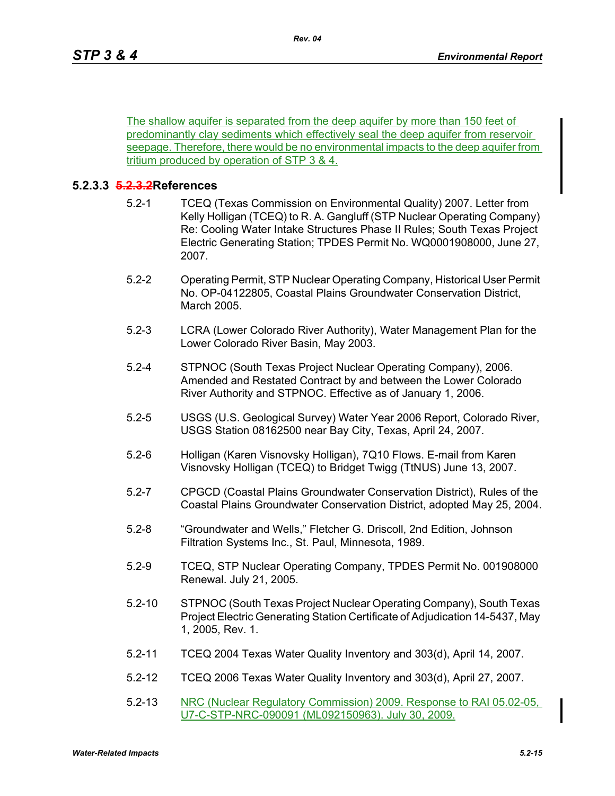The shallow aquifer is separated from the deep aquifer by more than 150 feet of predominantly clay sediments which effectively seal the deep aquifer from reservoir seepage. Therefore, there would be no environmental impacts to the deep aquifer from tritium produced by operation of STP 3 & 4.

## **5.2.3.3 5.2.3.2References**

- 5.2-1 TCEQ (Texas Commission on Environmental Quality) 2007. Letter from Kelly Holligan (TCEQ) to R. A. Gangluff (STP Nuclear Operating Company) Re: Cooling Water Intake Structures Phase II Rules; South Texas Project Electric Generating Station; TPDES Permit No. WQ0001908000, June 27, 2007.
- 5.2-2 Operating Permit, STP Nuclear Operating Company, Historical User Permit No. OP-04122805, Coastal Plains Groundwater Conservation District, March 2005.
- 5.2-3 LCRA (Lower Colorado River Authority), Water Management Plan for the Lower Colorado River Basin, May 2003.
- 5.2-4 STPNOC (South Texas Project Nuclear Operating Company), 2006. Amended and Restated Contract by and between the Lower Colorado River Authority and STPNOC. Effective as of January 1, 2006.
- 5.2-5 USGS (U.S. Geological Survey) Water Year 2006 Report, Colorado River, USGS Station 08162500 near Bay City, Texas, April 24, 2007.
- 5.2-6 Holligan (Karen Visnovsky Holligan), 7Q10 Flows. E-mail from Karen Visnovsky Holligan (TCEQ) to Bridget Twigg (TtNUS) June 13, 2007.
- 5.2-7 CPGCD (Coastal Plains Groundwater Conservation District), Rules of the Coastal Plains Groundwater Conservation District, adopted May 25, 2004.
- 5.2-8 "Groundwater and Wells," Fletcher G. Driscoll, 2nd Edition, Johnson Filtration Systems Inc., St. Paul, Minnesota, 1989.
- 5.2-9 TCEQ, STP Nuclear Operating Company, TPDES Permit No. 001908000 Renewal. July 21, 2005.
- 5.2-10 STPNOC (South Texas Project Nuclear Operating Company), South Texas Project Electric Generating Station Certificate of Adjudication 14-5437, May 1, 2005, Rev. 1.
- 5.2-11 TCEQ 2004 Texas Water Quality Inventory and 303(d), April 14, 2007.
- 5.2-12 TCEQ 2006 Texas Water Quality Inventory and 303(d), April 27, 2007.
- 5.2-13 NRC (Nuclear Regulatory Commission) 2009. Response to RAI 05.02-05, U7-C-STP-NRC-090091 (ML092150963). July 30, 2009.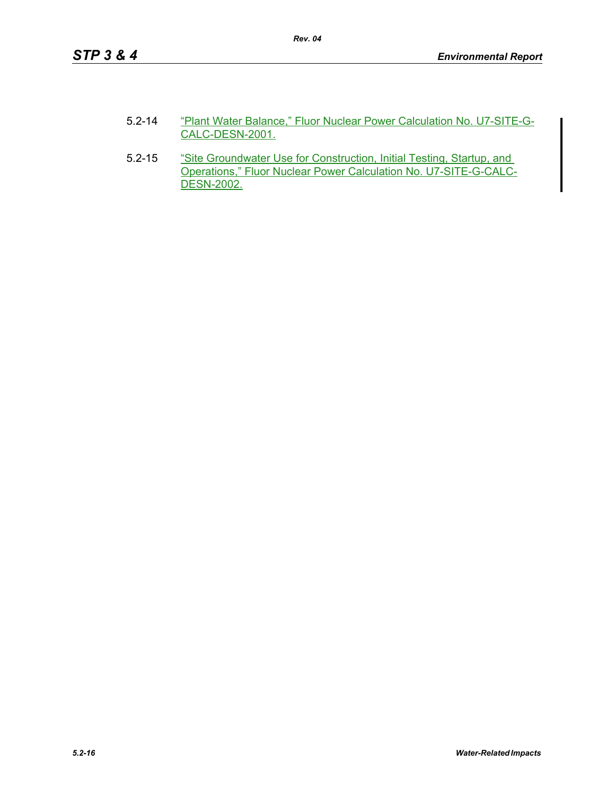| $5.2 - 14$ | "Plant Water Balance," Fluor Nuclear Power Calculation No. U7-SITE-G- |
|------------|-----------------------------------------------------------------------|
|            | CALC-DESN-2001.                                                       |

5.2-15 "Site Groundwater Use for Construction, Initial Testing, Startup, and Operations," Fluor Nuclear Power Calculation No. U7-SITE-G-CALC-DESN-2002.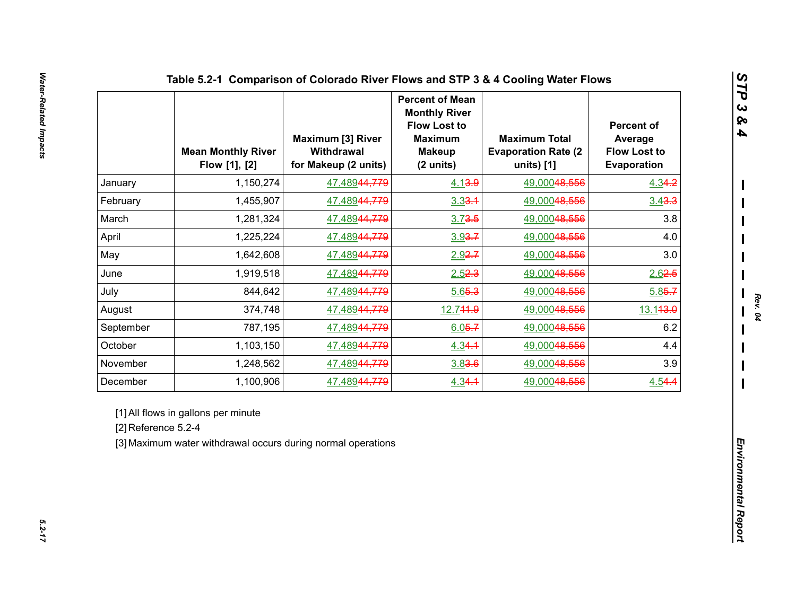|                     | <b>Mean Monthly River</b><br>Flow [1], [2]                                                          | <b>Maximum [3] River</b><br>Withdrawal<br>for Makeup (2 units) | <b>Percent of Mean</b><br><b>Monthly River</b><br><b>Flow Lost to</b><br><b>Maximum</b><br><b>Makeup</b><br>(2 units) | <b>Maximum Total</b><br><b>Evaporation Rate (2)</b><br>units) [1] | <b>Percent of</b><br>Average<br><b>Flow Lost to</b><br>Evaporation |  |
|---------------------|-----------------------------------------------------------------------------------------------------|----------------------------------------------------------------|-----------------------------------------------------------------------------------------------------------------------|-------------------------------------------------------------------|--------------------------------------------------------------------|--|
| January             | 1,150,274                                                                                           | 47,48944,779                                                   | 4.13.9                                                                                                                | 49,00048,556                                                      | 4.34.2                                                             |  |
| February            | 1,455,907                                                                                           | 47,48944,779                                                   | $3.33 - 1$                                                                                                            | 49,00048,556                                                      | 3.43.3                                                             |  |
| March               | 1,281,324                                                                                           | 47,48944,779                                                   | $3.73 - 5$                                                                                                            | 49,00048,556                                                      | 3.8                                                                |  |
| April               | 1,225,224                                                                                           | 47,48944,779                                                   | $3.93 - 7$                                                                                                            | 49,00048,556                                                      | 4.0                                                                |  |
| May                 | 1,642,608                                                                                           | 47,48944,779                                                   | $2.92 - 7$                                                                                                            | 49,00048,556                                                      | 3.0                                                                |  |
| June                | 1,919,518                                                                                           | 47,48944,779                                                   | 2.52.3                                                                                                                | 49,00048,556                                                      | 2.62.5                                                             |  |
| July                | 844,642                                                                                             | 47,48944,779                                                   | 5.65.3                                                                                                                | 49,00048,556                                                      | $5.85 - 7$                                                         |  |
| August              | 374,748                                                                                             | 47,48944,779                                                   | 12.744.9                                                                                                              | 49,00048,556                                                      | 13.143.0                                                           |  |
| September           | 787,195                                                                                             | 47,48944,779                                                   | $6.05 - 7$                                                                                                            | 49,00048,556                                                      | 6.2                                                                |  |
| October             | 1,103,150                                                                                           | 47,48944,779                                                   | 4.34.1                                                                                                                | 49,00048,556                                                      | 4.4                                                                |  |
| November            | 1,248,562                                                                                           | 47,48944,779                                                   | 3.83.6                                                                                                                | 49,00048,556                                                      | 3.9                                                                |  |
| December            | 1,100,906                                                                                           | 47,48944,779                                                   | 4.34.1                                                                                                                | 49,00048,556                                                      | 4.54.4                                                             |  |
| [2] Reference 5.2-4 | [1] All flows in gallons per minute<br>[3] Maximum water withdrawal occurs during normal operations |                                                                |                                                                                                                       |                                                                   |                                                                    |  |

*STP 3 & 4*